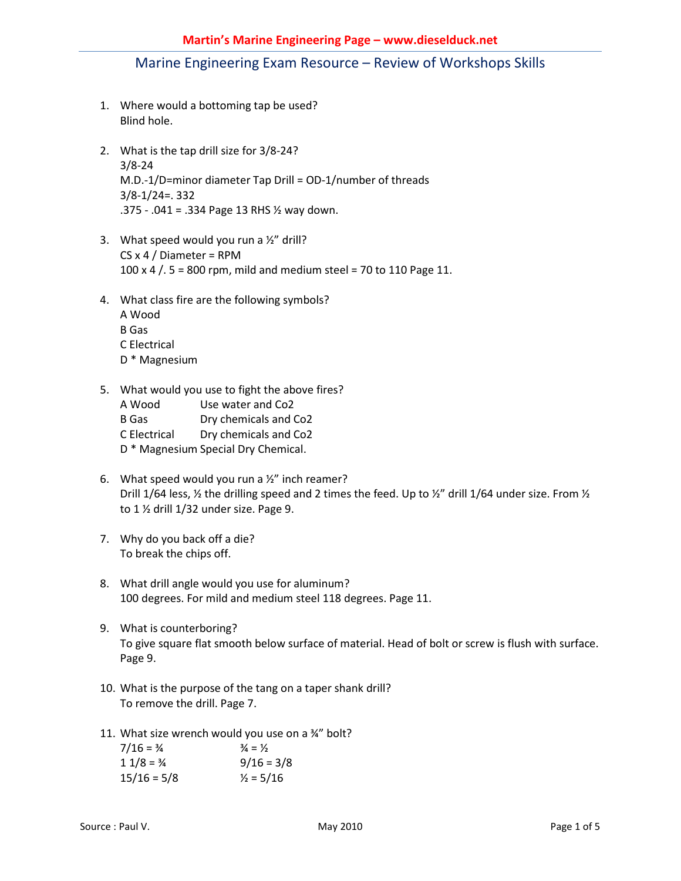- 1. Where would a bottoming tap be used? Blind hole.
- 2. What is the tap drill size for 3/8-24? 3/8-24 M.D.-1/D=minor diameter Tap Drill = OD-1/number of threads 3/8-1/24=. 332 .375 - .041 = .334 Page 13 RHS ½ way down.
- 3. What speed would you run a  $\frac{1}{2}$ " drill?  $CS x 4 / Diameter = RPM$ 100 x 4 /. 5 = 800 rpm, mild and medium steel = 70 to 110 Page 11.
- 4. What class fire are the following symbols?
	- A Wood B Gas C Electrical D \* Magnesium
- 5. What would you use to fight the above fires?
	- A Wood Use water and Co2 B Gas Dry chemicals and Co2 C Electrical Dry chemicals and Co2 D \* Magnesium Special Dry Chemical.
- 6. What speed would you run a  $\frac{1}{2}$ " inch reamer? Drill 1/64 less,  $\frac{1}{2}$  the drilling speed and 2 times the feed. Up to  $\frac{1}{2}$  drill 1/64 under size. From  $\frac{1}{2}$ to 1 % drill 1/32 under size. Page 9.
- 7. Why do you back off a die? To break the chips off.
- 8. What drill angle would you use for aluminum? 100 degrees. For mild and medium steel 118 degrees. Page 11.
- 9. What is counterboring? To give square flat smooth below surface of material. Head of bolt or screw is flush with surface. Page 9.
- 10. What is the purpose of the tang on a taper shank drill? To remove the drill. Page 7.
- 11. What size wrench would you use on a ¾" bolt?

| $7/16 = 3/4$  | $\frac{3}{4} = \frac{1}{2}$ |
|---------------|-----------------------------|
| $11/8 = 3/4$  | $9/16 = 3/8$                |
| $15/16 = 5/8$ | $\frac{1}{2}$ = 5/16        |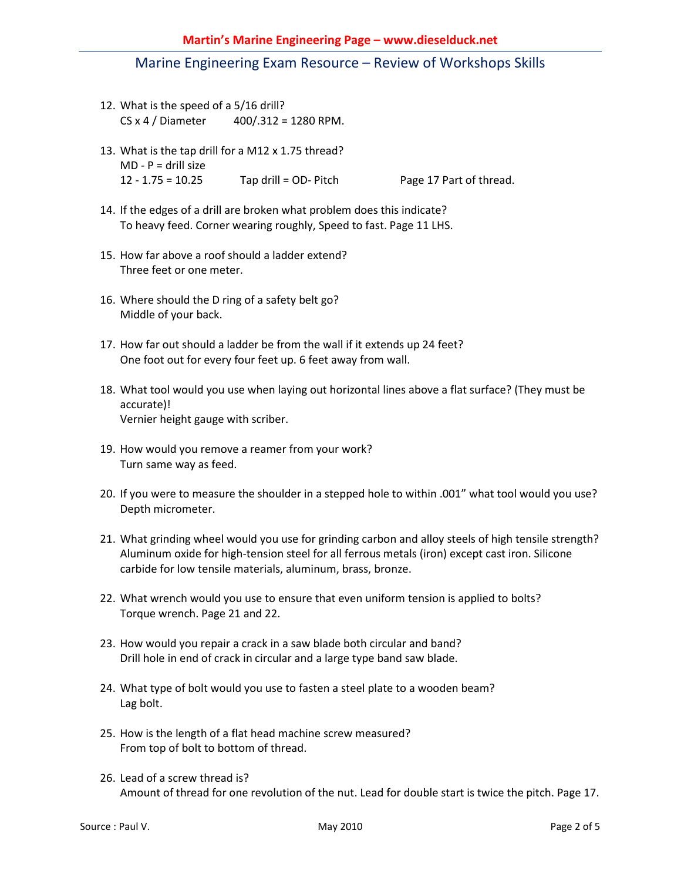- 12. What is the speed of a 5/16 drill? CS x 4 / Diameter 400/.312 = 1280 RPM.
- 13. What is the tap drill for a M12 x 1.75 thread?  $MD - P =$  drill size 12 - 1.75 = 10.25 Tap drill = OD- Pitch Page 17 Part of thread.
- 14. If the edges of a drill are broken what problem does this indicate? To heavy feed. Corner wearing roughly, Speed to fast. Page 11 LHS.
- 15. How far above a roof should a ladder extend? Three feet or one meter.
- 16. Where should the D ring of a safety belt go? Middle of your back.
- 17. How far out should a ladder be from the wall if it extends up 24 feet? One foot out for every four feet up. 6 feet away from wall.
- 18. What tool would you use when laying out horizontal lines above a flat surface? (They must be accurate)! Vernier height gauge with scriber.
- 19. How would you remove a reamer from your work? Turn same way as feed.
- 20. If you were to measure the shoulder in a stepped hole to within .001" what tool would you use? Depth micrometer.
- 21. What grinding wheel would you use for grinding carbon and alloy steels of high tensile strength? Aluminum oxide for high-tension steel for all ferrous metals (iron) except cast iron. Silicone carbide for low tensile materials, aluminum, brass, bronze.
- 22. What wrench would you use to ensure that even uniform tension is applied to bolts? Torque wrench. Page 21 and 22.
- 23. How would you repair a crack in a saw blade both circular and band? Drill hole in end of crack in circular and a large type band saw blade.
- 24. What type of bolt would you use to fasten a steel plate to a wooden beam? Lag bolt.
- 25. How is the length of a flat head machine screw measured? From top of bolt to bottom of thread.
- 26. Lead of a screw thread is? Amount of thread for one revolution of the nut. Lead for double start is twice the pitch. Page 17.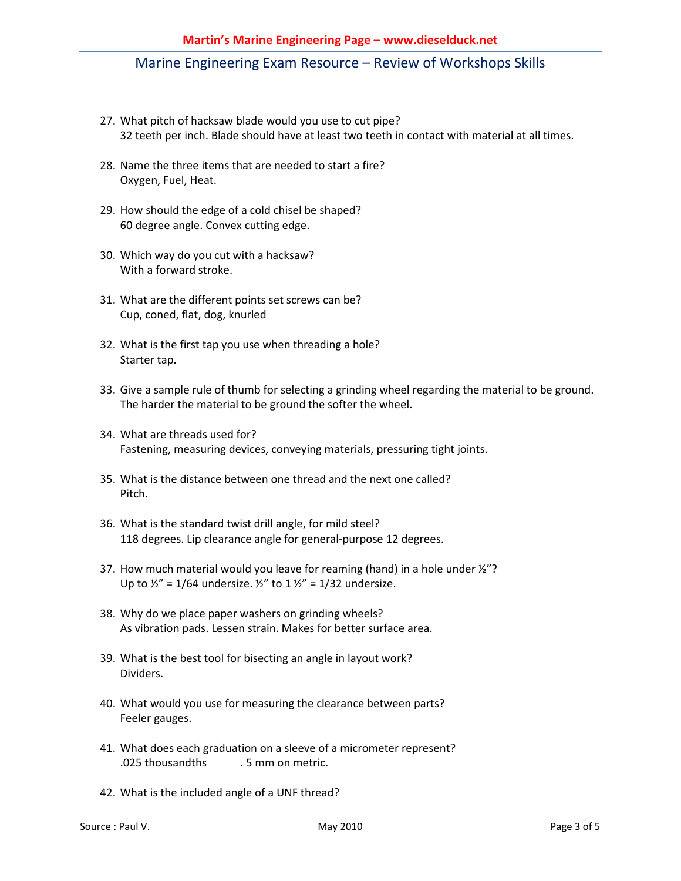#### **Martin's Marine Engineering Page – www.dieselduck.net**

### Marine Engineering Exam Resource – Review of Workshops Skills

- 27. What pitch of hacksaw blade would you use to cut pipe? 32 teeth per inch. Blade should have at least two teeth in contact with material at all times.
- 28. Name the three items that are needed to start a fire? Oxygen, Fuel, Heat.
- 29. How should the edge of a cold chisel be shaped? 60 degree angle. Convex cutting edge.
- 30. Which way do you cut with a hacksaw? With a forward stroke.
- 31. What are the different points set screws can be? Cup, coned, flat, dog, knurled
- 32. What is the first tap you use when threading a hole? Starter tap.
- 33. Give a sample rule of thumb for selecting a grinding wheel regarding the material to be ground. The harder the material to be ground the softer the wheel.
- 34. What are threads used for? Fastening, measuring devices, conveying materials, pressuring tight joints.
- 35. What is the distance between one thread and the next one called? Pitch.
- 36. What is the standard twist drill angle, for mild steel? 118 degrees. Lip clearance angle for general-purpose 12 degrees.
- 37. How much material would you leave for reaming (hand) in a hole under ½"? Up to  $\frac{1}{2}$ " = 1/64 undersize.  $\frac{1}{2}$ " to 1  $\frac{1}{2}$ " = 1/32 undersize.
- 38. Why do we place paper washers on grinding wheels? As vibration pads. Lessen strain. Makes for better surface area.
- 39. What is the best tool for bisecting an angle in layout work? Dividers.
- 40. What would you use for measuring the clearance between parts? Feeler gauges.
- 41. What does each graduation on a sleeve of a micrometer represent? .025 thousandths . 5 mm on metric.
- 42. What is the included angle of a UNF thread?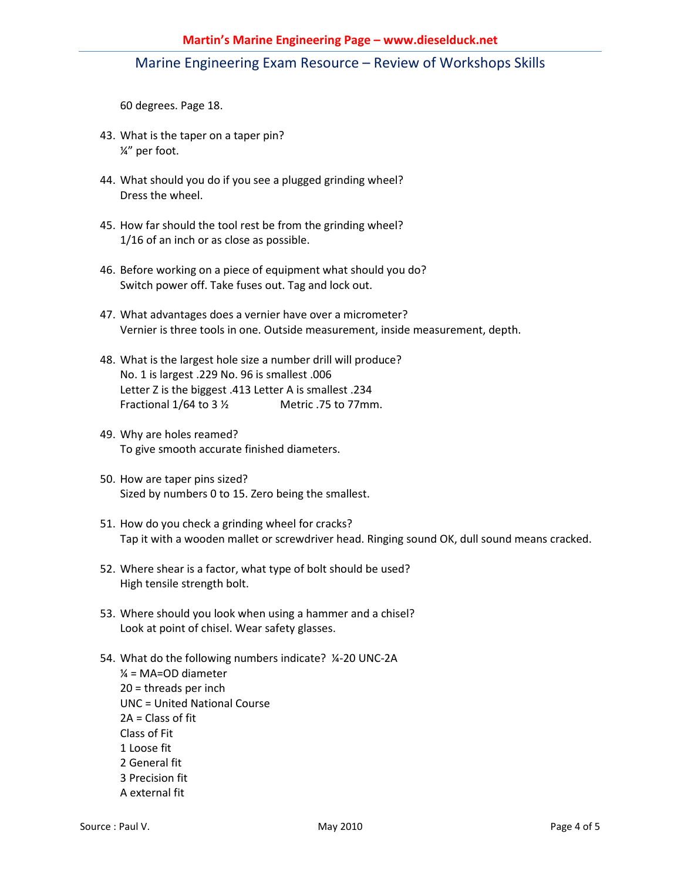60 degrees. Page 18.

- 43. What is the taper on a taper pin? ¼" per foot.
- 44. What should you do if you see a plugged grinding wheel? Dress the wheel.
- 45. How far should the tool rest be from the grinding wheel? 1/16 of an inch or as close as possible.
- 46. Before working on a piece of equipment what should you do? Switch power off. Take fuses out. Tag and lock out.
- 47. What advantages does a vernier have over a micrometer? Vernier is three tools in one. Outside measurement, inside measurement, depth.
- 48. What is the largest hole size a number drill will produce? No. 1 is largest .229 No. 96 is smallest .006 Letter Z is the biggest .413 Letter A is smallest .234 Fractional  $1/64$  to  $3\frac{1}{2}$  Metric .75 to 77mm.
- 49. Why are holes reamed? To give smooth accurate finished diameters.
- 50. How are taper pins sized? Sized by numbers 0 to 15. Zero being the smallest.
- 51. How do you check a grinding wheel for cracks? Tap it with a wooden mallet or screwdriver head. Ringing sound OK, dull sound means cracked.
- 52. Where shear is a factor, what type of bolt should be used? High tensile strength bolt.
- 53. Where should you look when using a hammer and a chisel? Look at point of chisel. Wear safety glasses.
- 54. What do the following numbers indicate? ¼-20 UNC-2A  $\frac{1}{4}$  = MA=OD diameter 20 = threads per inch UNC = United National Course 2A = Class of fit Class of Fit 1 Loose fit 2 General fit 3 Precision fit A external fit